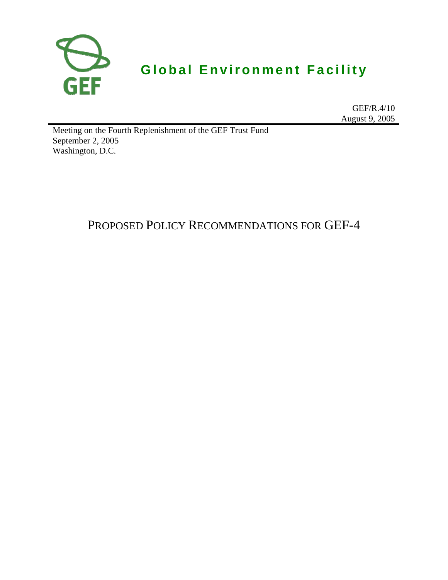

# **Global Environment Facility**

GEF/R.4/10 August 9, 2005

Meeting on the Fourth Replenishment of the GEF Trust Fund September 2, 2005 Washington, D.C.

# PROPOSED POLICY RECOMMENDATIONS FOR GEF-4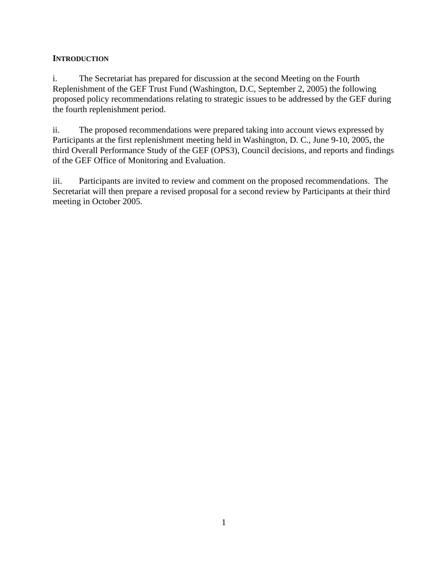#### **INTRODUCTION**

i. The Secretariat has prepared for discussion at the second Meeting on the Fourth Replenishment of the GEF Trust Fund (Washington, D.C, September 2, 2005) the following proposed policy recommendations relating to strategic issues to be addressed by the GEF during the fourth replenishment period.

ii. The proposed recommendations were prepared taking into account views expressed by Participants at the first replenishment meeting held in Washington, D. C., June 9-10, 2005, the third Overall Performance Study of the GEF (OPS3), Council decisions, and reports and findings of the GEF Office of Monitoring and Evaluation.

iii. Participants are invited to review and comment on the proposed recommendations. The Secretariat will then prepare a revised proposal for a second review by Participants at their third meeting in October 2005.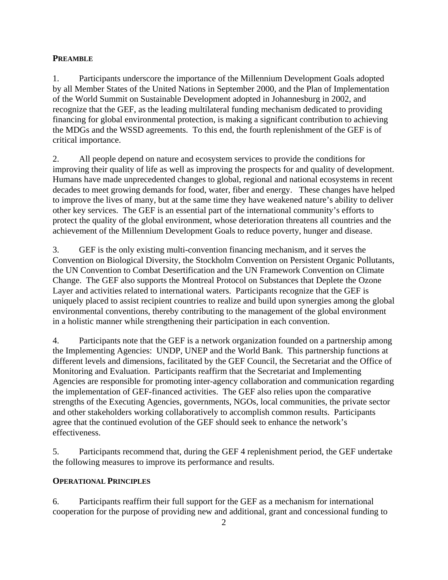#### **PREAMBLE**

1. Participants underscore the importance of the Millennium Development Goals adopted by all Member States of the United Nations in September 2000, and the Plan of Implementation of the World Summit on Sustainable Development adopted in Johannesburg in 2002, and recognize that the GEF, as the leading multilateral funding mechanism dedicated to providing financing for global environmental protection, is making a significant contribution to achieving the MDGs and the WSSD agreements. To this end, the fourth replenishment of the GEF is of critical importance.

2. All people depend on nature and ecosystem services to provide the conditions for improving their quality of life as well as improving the prospects for and quality of development. Humans have made unprecedented changes to global, regional and national ecosystems in recent decades to meet growing demands for food, water, fiber and energy. These changes have helped to improve the lives of many, but at the same time they have weakened nature's ability to deliver other key services. The GEF is an essential part of the international community's efforts to protect the quality of the global environment, whose deterioration threatens all countries and the achievement of the Millennium Development Goals to reduce poverty, hunger and disease.

3. GEF is the only existing multi-convention financing mechanism, and it serves the Convention on Biological Diversity, the Stockholm Convention on Persistent Organic Pollutants, the UN Convention to Combat Desertification and the UN Framework Convention on Climate Change. The GEF also supports the Montreal Protocol on Substances that Deplete the Ozone Layer and activities related to international waters. Participants recognize that the GEF is uniquely placed to assist recipient countries to realize and build upon synergies among the global environmental conventions, thereby contributing to the management of the global environment in a holistic manner while strengthening their participation in each convention.

4. Participants note that the GEF is a network organization founded on a partnership among the Implementing Agencies: UNDP, UNEP and the World Bank. This partnership functions at different levels and dimensions, facilitated by the GEF Council, the Secretariat and the Office of Monitoring and Evaluation. Participants reaffirm that the Secretariat and Implementing Agencies are responsible for promoting inter-agency collaboration and communication regarding the implementation of GEF-financed activities. The GEF also relies upon the comparative strengths of the Executing Agencies, governments, NGOs, local communities, the private sector and other stakeholders working collaboratively to accomplish common results. Participants agree that the continued evolution of the GEF should seek to enhance the network's effectiveness.

5. Participants recommend that, during the GEF 4 replenishment period, the GEF undertake the following measures to improve its performance and results.

## **OPERATIONAL PRINCIPLES**

6. Participants reaffirm their full support for the GEF as a mechanism for international cooperation for the purpose of providing new and additional, grant and concessional funding to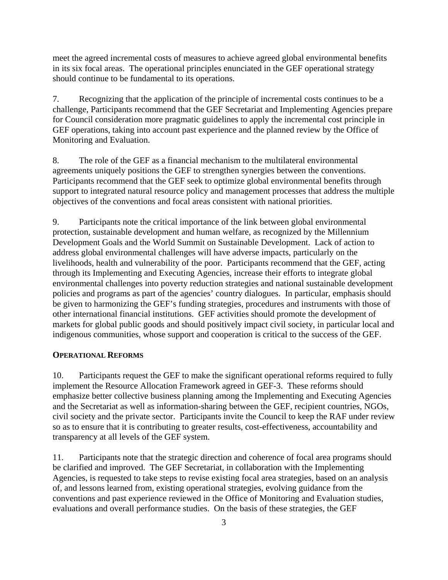meet the agreed incremental costs of measures to achieve agreed global environmental benefits in its six focal areas. The operational principles enunciated in the GEF operational strategy should continue to be fundamental to its operations.

7. Recognizing that the application of the principle of incremental costs continues to be a challenge, Participants recommend that the GEF Secretariat and Implementing Agencies prepare for Council consideration more pragmatic guidelines to apply the incremental cost principle in GEF operations, taking into account past experience and the planned review by the Office of Monitoring and Evaluation.

8. The role of the GEF as a financial mechanism to the multilateral environmental agreements uniquely positions the GEF to strengthen synergies between the conventions. Participants recommend that the GEF seek to optimize global environmental benefits through support to integrated natural resource policy and management processes that address the multiple objectives of the conventions and focal areas consistent with national priorities.

9. Participants note the critical importance of the link between global environmental protection, sustainable development and human welfare, as recognized by the Millennium Development Goals and the World Summit on Sustainable Development. Lack of action to address global environmental challenges will have adverse impacts, particularly on the livelihoods, health and vulnerability of the poor. Participants recommend that the GEF, acting through its Implementing and Executing Agencies, increase their efforts to integrate global environmental challenges into poverty reduction strategies and national sustainable development policies and programs as part of the agencies' country dialogues. In particular, emphasis should be given to harmonizing the GEF's funding strategies, procedures and instruments with those of other international financial institutions. GEF activities should promote the development of markets for global public goods and should positively impact civil society, in particular local and indigenous communities, whose support and cooperation is critical to the success of the GEF.

#### **OPERATIONAL REFORMS**

10. Participants request the GEF to make the significant operational reforms required to fully implement the Resource Allocation Framework agreed in GEF-3. These reforms should emphasize better collective business planning among the Implementing and Executing Agencies and the Secretariat as well as information-sharing between the GEF, recipient countries, NGOs, civil society and the private sector. Participants invite the Council to keep the RAF under review so as to ensure that it is contributing to greater results, cost-effectiveness, accountability and transparency at all levels of the GEF system.

11. Participants note that the strategic direction and coherence of focal area programs should be clarified and improved. The GEF Secretariat, in collaboration with the Implementing Agencies, is requested to take steps to revise existing focal area strategies, based on an analysis of, and lessons learned from, existing operational strategies, evolving guidance from the conventions and past experience reviewed in the Office of Monitoring and Evaluation studies, evaluations and overall performance studies. On the basis of these strategies, the GEF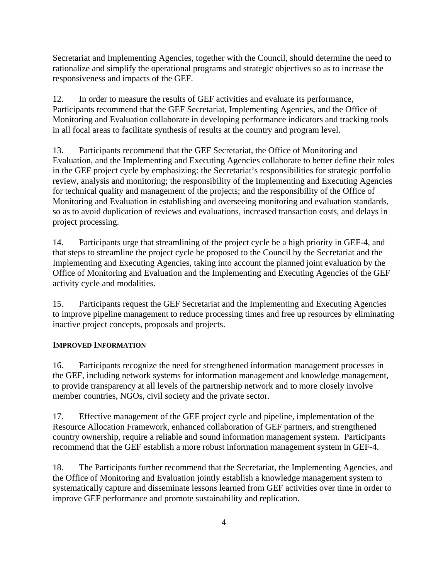Secretariat and Implementing Agencies, together with the Council, should determine the need to rationalize and simplify the operational programs and strategic objectives so as to increase the responsiveness and impacts of the GEF.

12. In order to measure the results of GEF activities and evaluate its performance, Participants recommend that the GEF Secretariat, Implementing Agencies, and the Office of Monitoring and Evaluation collaborate in developing performance indicators and tracking tools in all focal areas to facilitate synthesis of results at the country and program level.

13. Participants recommend that the GEF Secretariat, the Office of Monitoring and Evaluation, and the Implementing and Executing Agencies collaborate to better define their roles in the GEF project cycle by emphasizing: the Secretariat's responsibilities for strategic portfolio review, analysis and monitoring; the responsibility of the Implementing and Executing Agencies for technical quality and management of the projects; and the responsibility of the Office of Monitoring and Evaluation in establishing and overseeing monitoring and evaluation standards, so as to avoid duplication of reviews and evaluations, increased transaction costs, and delays in project processing.

14. Participants urge that streamlining of the project cycle be a high priority in GEF-4, and that steps to streamline the project cycle be proposed to the Council by the Secretariat and the Implementing and Executing Agencies, taking into account the planned joint evaluation by the Office of Monitoring and Evaluation and the Implementing and Executing Agencies of the GEF activity cycle and modalities.

15. Participants request the GEF Secretariat and the Implementing and Executing Agencies to improve pipeline management to reduce processing times and free up resources by eliminating inactive project concepts, proposals and projects.

## **IMPROVED INFORMATION**

16. Participants recognize the need for strengthened information management processes in the GEF, including network systems for information management and knowledge management, to provide transparency at all levels of the partnership network and to more closely involve member countries, NGOs, civil society and the private sector.

17. Effective management of the GEF project cycle and pipeline, implementation of the Resource Allocation Framework, enhanced collaboration of GEF partners, and strengthened country ownership, require a reliable and sound information management system. Participants recommend that the GEF establish a more robust information management system in GEF-4.

18. The Participants further recommend that the Secretariat, the Implementing Agencies, and the Office of Monitoring and Evaluation jointly establish a knowledge management system to systematically capture and disseminate lessons learned from GEF activities over time in order to improve GEF performance and promote sustainability and replication.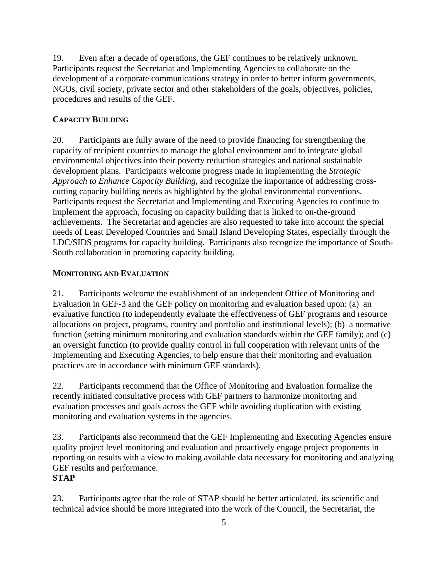19. Even after a decade of operations, the GEF continues to be relatively unknown. Participants request the Secretariat and Implementing Agencies to collaborate on the development of a corporate communications strategy in order to better inform governments, NGOs, civil society, private sector and other stakeholders of the goals, objectives, policies, procedures and results of the GEF.

#### **CAPACITY BUILDING**

20. Participants are fully aware of the need to provide financing for strengthening the capacity of recipient countries to manage the global environment and to integrate global environmental objectives into their poverty reduction strategies and national sustainable development plans. Participants welcome progress made in implementing the *Strategic Approach to Enhance Capacity Building*, and recognize the importance of addressing crosscutting capacity building needs as highlighted by the global environmental conventions. Participants request the Secretariat and Implementing and Executing Agencies to continue to implement the approach, focusing on capacity building that is linked to on-the-ground achievements. The Secretariat and agencies are also requested to take into account the special needs of Least Developed Countries and Small Island Developing States, especially through the LDC/SIDS programs for capacity building. Participants also recognize the importance of South-South collaboration in promoting capacity building.

#### **MONITORING AND EVALUATION**

21. Participants welcome the establishment of an independent Office of Monitoring and Evaluation in GEF-3 and the GEF policy on monitoring and evaluation based upon: (a) an evaluative function (to independently evaluate the effectiveness of GEF programs and resource allocations on project, programs, country and portfolio and institutional levels); (b) a normative function (setting minimum monitoring and evaluation standards within the GEF family); and (c) an oversight function (to provide quality control in full cooperation with relevant units of the Implementing and Executing Agencies, to help ensure that their monitoring and evaluation practices are in accordance with minimum GEF standards).

22. Participants recommend that the Office of Monitoring and Evaluation formalize the recently initiated consultative process with GEF partners to harmonize monitoring and evaluation processes and goals across the GEF while avoiding duplication with existing monitoring and evaluation systems in the agencies.

23. Participants also recommend that the GEF Implementing and Executing Agencies ensure quality project level monitoring and evaluation and proactively engage project proponents in reporting on results with a view to making available data necessary for monitoring and analyzing GEF results and performance.

#### **STAP**

23. Participants agree that the role of STAP should be better articulated, its scientific and technical advice should be more integrated into the work of the Council, the Secretariat, the